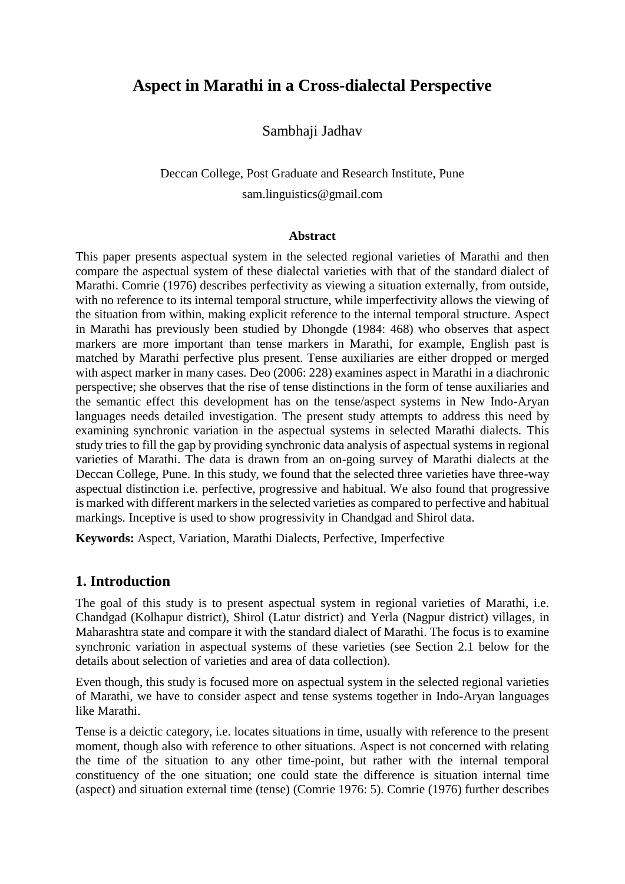# **Aspect in Marathi in a Cross-dialectal Perspective**

Sambhaji Jadhav

# Deccan College, Post Graduate and Research Institute, Pune sam.linguistics@gmail.com

#### **Abstract**

This paper presents aspectual system in the selected regional varieties of Marathi and then compare the aspectual system of these dialectal varieties with that of the standard dialect of Marathi. Comrie (1976) describes perfectivity as viewing a situation externally, from outside, with no reference to its internal temporal structure, while imperfectivity allows the viewing of the situation from within, making explicit reference to the internal temporal structure. Aspect in Marathi has previously been studied by Dhongde (1984: 468) who observes that aspect markers are more important than tense markers in Marathi, for example, English past is matched by Marathi perfective plus present. Tense auxiliaries are either dropped or merged with aspect marker in many cases. Deo (2006: 228) examines aspect in Marathi in a diachronic perspective; she observes that the rise of tense distinctions in the form of tense auxiliaries and the semantic effect this development has on the tense/aspect systems in New Indo-Aryan languages needs detailed investigation. The present study attempts to address this need by examining synchronic variation in the aspectual systems in selected Marathi dialects. This study tries to fill the gap by providing synchronic data analysis of aspectual systems in regional varieties of Marathi. The data is drawn from an on-going survey of Marathi dialects at the Deccan College, Pune. In this study, we found that the selected three varieties have three-way aspectual distinction i.e. perfective, progressive and habitual. We also found that progressive is marked with different markers in the selected varieties as compared to perfective and habitual markings. Inceptive is used to show progressivity in Chandgad and Shirol data.

**Keywords:** Aspect, Variation, Marathi Dialects, Perfective, Imperfective

## **1. Introduction**

The goal of this study is to present aspectual system in regional varieties of Marathi, i.e. Chandgad (Kolhapur district), Shirol (Latur district) and Yerla (Nagpur district) villages, in Maharashtra state and compare it with the standard dialect of Marathi. The focus is to examine synchronic variation in aspectual systems of these varieties (see Section 2.1 below for the details about selection of varieties and area of data collection).

Even though, this study is focused more on aspectual system in the selected regional varieties of Marathi, we have to consider aspect and tense systems together in Indo-Aryan languages like Marathi.

Tense is a deictic category, i.e. locates situations in time, usually with reference to the present moment, though also with reference to other situations. Aspect is not concerned with relating the time of the situation to any other time-point, but rather with the internal temporal constituency of the one situation; one could state the difference is situation internal time (aspect) and situation external time (tense) (Comrie 1976: 5). Comrie (1976) further describes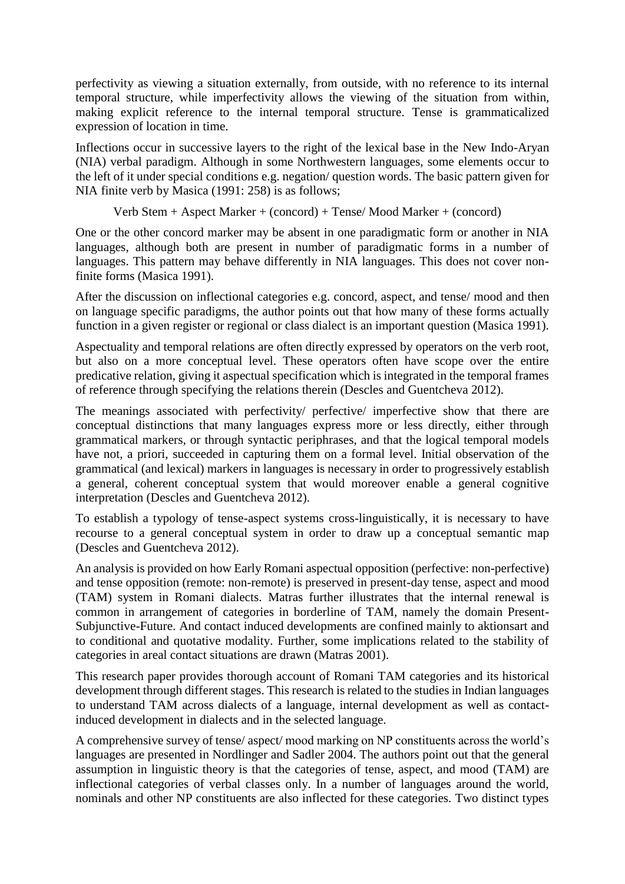perfectivity as viewing a situation externally, from outside, with no reference to its internal temporal structure, while imperfectivity allows the viewing of the situation from within, making explicit reference to the internal temporal structure. Tense is grammaticalized expression of location in time.

Inflections occur in successive layers to the right of the lexical base in the New Indo-Aryan (NIA) verbal paradigm. Although in some Northwestern languages, some elements occur to the left of it under special conditions e.g. negation/ question words. The basic pattern given for NIA finite verb by Masica (1991: 258) is as follows;

Verb Stem + Aspect Marker + (concord) + Tense/ Mood Marker + (concord)

One or the other concord marker may be absent in one paradigmatic form or another in NIA languages, although both are present in number of paradigmatic forms in a number of languages. This pattern may behave differently in NIA languages. This does not cover nonfinite forms (Masica 1991).

After the discussion on inflectional categories e.g. concord, aspect, and tense/ mood and then on language specific paradigms, the author points out that how many of these forms actually function in a given register or regional or class dialect is an important question (Masica 1991).

Aspectuality and temporal relations are often directly expressed by operators on the verb root, but also on a more conceptual level. These operators often have scope over the entire predicative relation, giving it aspectual specification which is integrated in the temporal frames of reference through specifying the relations therein (Descles and Guentcheva 2012).

The meanings associated with perfectivity/ perfective/ imperfective show that there are conceptual distinctions that many languages express more or less directly, either through grammatical markers, or through syntactic periphrases, and that the logical temporal models have not, a priori, succeeded in capturing them on a formal level. Initial observation of the grammatical (and lexical) markers in languages is necessary in order to progressively establish a general, coherent conceptual system that would moreover enable a general cognitive interpretation (Descles and Guentcheva 2012).

To establish a typology of tense-aspect systems cross-linguistically, it is necessary to have recourse to a general conceptual system in order to draw up a conceptual semantic map (Descles and Guentcheva 2012).

An analysis is provided on how Early Romani aspectual opposition (perfective: non-perfective) and tense opposition (remote: non-remote) is preserved in present-day tense, aspect and mood (TAM) system in Romani dialects. Matras further illustrates that the internal renewal is common in arrangement of categories in borderline of TAM, namely the domain Present-Subjunctive-Future. And contact induced developments are confined mainly to aktionsart and to conditional and quotative modality. Further, some implications related to the stability of categories in areal contact situations are drawn (Matras 2001).

This research paper provides thorough account of Romani TAM categories and its historical development through different stages. This research is related to the studies in Indian languages to understand TAM across dialects of a language, internal development as well as contactinduced development in dialects and in the selected language.

A comprehensive survey of tense/ aspect/ mood marking on NP constituents across the world's languages are presented in Nordlinger and Sadler 2004. The authors point out that the general assumption in linguistic theory is that the categories of tense, aspect, and mood (TAM) are inflectional categories of verbal classes only. In a number of languages around the world, nominals and other NP constituents are also inflected for these categories. Two distinct types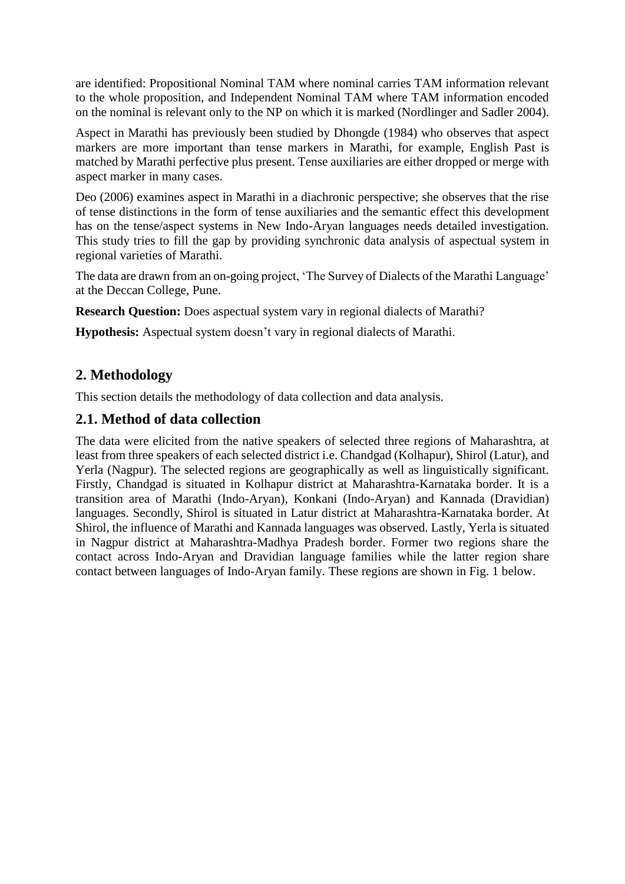are identified: Propositional Nominal TAM where nominal carries TAM information relevant to the whole proposition, and Independent Nominal TAM where TAM information encoded on the nominal is relevant only to the NP on which it is marked (Nordlinger and Sadler 2004).

Aspect in Marathi has previously been studied by Dhongde (1984) who observes that aspect markers are more important than tense markers in Marathi, for example, English Past is matched by Marathi perfective plus present. Tense auxiliaries are either dropped or merge with aspect marker in many cases.

Deo (2006) examines aspect in Marathi in a diachronic perspective; she observes that the rise of tense distinctions in the form of tense auxiliaries and the semantic effect this development has on the tense/aspect systems in New Indo-Aryan languages needs detailed investigation. This study tries to fill the gap by providing synchronic data analysis of aspectual system in regional varieties of Marathi.

The data are drawn from an on-going project, 'The Survey of Dialects of the Marathi Language' at the Deccan College, Pune.

**Research Question:** Does aspectual system vary in regional dialects of Marathi?

**Hypothesis:** Aspectual system doesn't vary in regional dialects of Marathi.

## **2. Methodology**

This section details the methodology of data collection and data analysis.

## **2.1. Method of data collection**

The data were elicited from the native speakers of selected three regions of Maharashtra, at least from three speakers of each selected district i.e. Chandgad (Kolhapur), Shirol (Latur), and Yerla (Nagpur). The selected regions are geographically as well as linguistically significant. Firstly, Chandgad is situated in Kolhapur district at Maharashtra-Karnataka border. It is a transition area of Marathi (Indo-Aryan), Konkani (Indo-Aryan) and Kannada (Dravidian) languages. Secondly, Shirol is situated in Latur district at Maharashtra-Karnataka border. At Shirol, the influence of Marathi and Kannada languages was observed. Lastly, Yerla is situated in Nagpur district at Maharashtra-Madhya Pradesh border. Former two regions share the contact across Indo-Aryan and Dravidian language families while the latter region share contact between languages of Indo-Aryan family. These regions are shown in Fig. 1 below.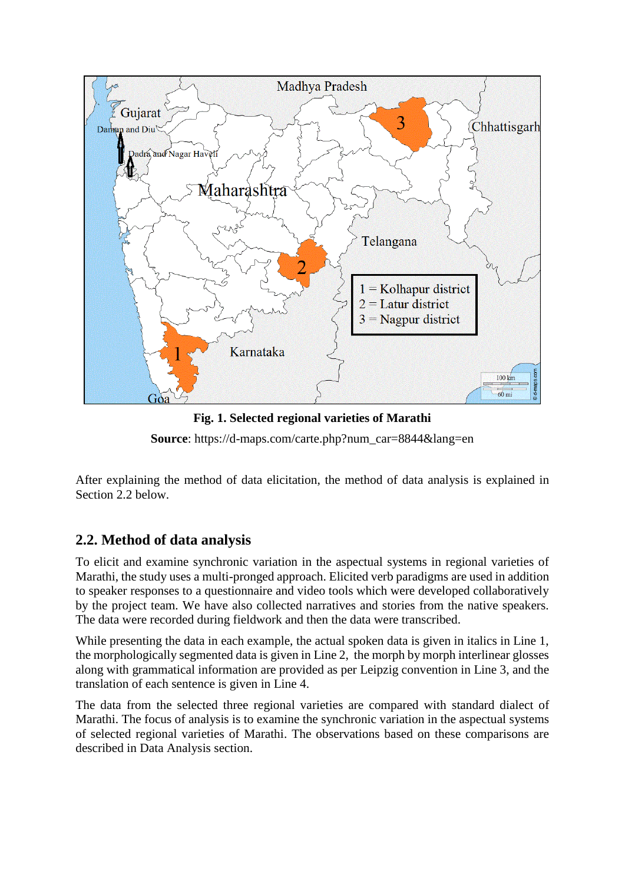

**Fig. 1. Selected regional varieties of Marathi** 

**Source**: https://d-maps.com/carte.php?num\_car=8844&lang=en

After explaining the method of data elicitation, the method of data analysis is explained in Section 2.2 below.

## **2.2. Method of data analysis**

To elicit and examine synchronic variation in the aspectual systems in regional varieties of Marathi, the study uses a multi-pronged approach. Elicited verb paradigms are used in addition to speaker responses to a questionnaire and video tools which were developed collaboratively by the project team. We have also collected narratives and stories from the native speakers. The data were recorded during fieldwork and then the data were transcribed.

While presenting the data in each example, the actual spoken data is given in italics in Line 1, the morphologically segmented data is given in Line 2, the morph by morph interlinear glosses along with grammatical information are provided as per Leipzig convention in Line 3, and the translation of each sentence is given in Line 4.

The data from the selected three regional varieties are compared with standard dialect of Marathi. The focus of analysis is to examine the synchronic variation in the aspectual systems of selected regional varieties of Marathi. The observations based on these comparisons are described in Data Analysis section.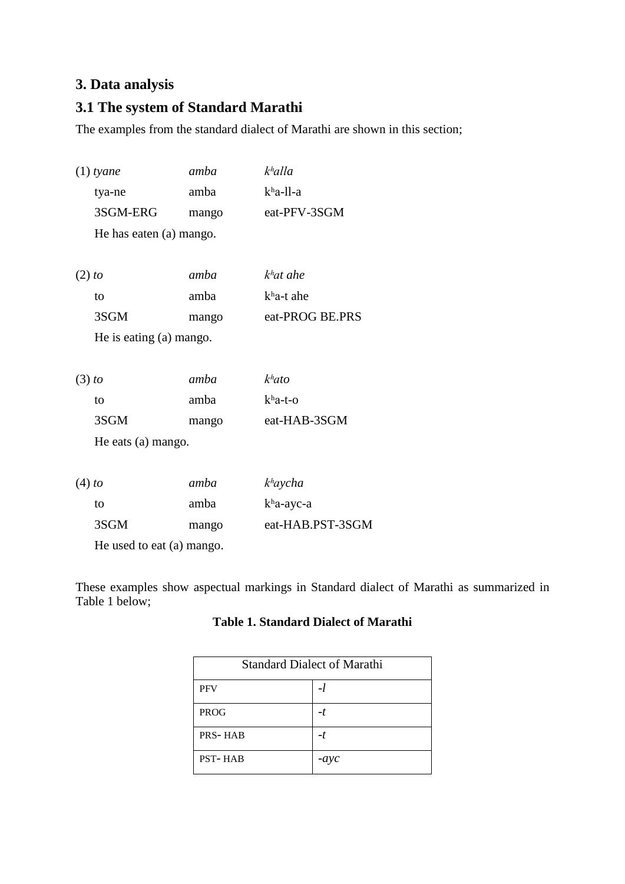# **3. Data analysis**

# **3.1 The system of Standard Marathi**

The examples from the standard dialect of Marathi are shown in this section;

| $(1)$ tyane               | amba  | $k$ <sup>h</sup> alla    |
|---------------------------|-------|--------------------------|
| tya-ne                    | amba  | kha-ll-a                 |
| 3SGM-ERG                  | mango | eat-PFV-3SGM             |
| He has eaten (a) mango.   |       |                          |
| $(2)$ to                  | amba  | $kh$ at ahe              |
| to                        | amba  | $kha-t$ ahe              |
| 3SGM                      | mango | eat-PROG BE.PRS          |
| He is eating (a) mango.   |       |                          |
| $(3)$ to                  | amba  | k <sup>h</sup> ato       |
| to                        | amba  | $kha-t-o$                |
| 3SGM                      | mango | eat-HAB-3SGM             |
| He eats (a) mango.        |       |                          |
|                           |       |                          |
| $(4)$ to                  | amba  | k <sup>h</sup> aycha     |
| to                        | amba  | $k$ <sup>h</sup> a-ayc-a |
| 3SGM                      | mango | eat-HAB.PST-3SGM         |
| He used to eat (a) mango. |       |                          |

These examples show aspectual markings in Standard dialect of Marathi as summarized in Table 1 below;

## **Table 1. Standard Dialect of Marathi**

| <b>Standard Dialect of Marathi</b> |        |  |
|------------------------------------|--------|--|
| <b>PFV</b>                         | $-t$   |  |
| <b>PROG</b>                        | -1     |  |
| <b>PRS-HAB</b>                     | -t     |  |
| <b>PST-HAB</b>                     | $-ayc$ |  |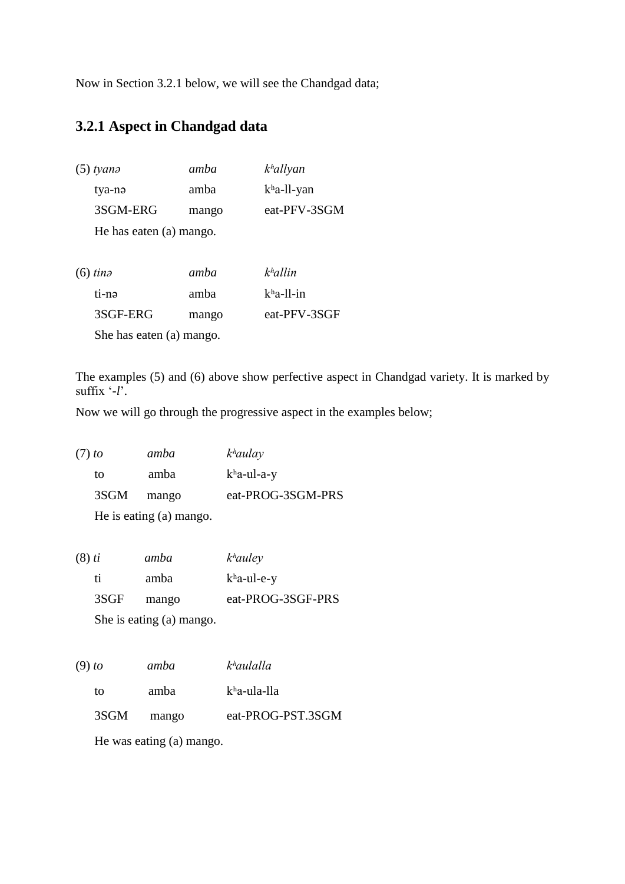Now in Section 3.2.1 below, we will see the Chandgad data;

# **3.2.1 Aspect in Chandgad data**

| tyanə                   | amba                     | $k$ <sup>h</sup> allyan |  |  |
|-------------------------|--------------------------|-------------------------|--|--|
| tya-nə                  | amba                     | $kha$ -ll-yan           |  |  |
| 3SGM-ERG                | mango                    | eat-PFV-3SGM            |  |  |
| He has eaten (a) mango. |                          |                         |  |  |
|                         |                          |                         |  |  |
| $(6)$ tinə              | amba                     | khallin                 |  |  |
| ti-nə                   | amba                     | $kha$ -ll-in            |  |  |
| 3SGF-ERG                | mango                    | eat-PFV-3SGF            |  |  |
|                         | She has eaten (a) mango. |                         |  |  |

The examples (5) and (6) above show perfective aspect in Chandgad variety. It is marked by suffix '-*l*'.

Now we will go through the progressive aspect in the examples below;

| $(7)$ to | amba  | $k$ <sup>h</sup> aulay |
|----------|-------|------------------------|
| to       | amba  | $k$ ha-ul-a-y          |
| 3SGM     | mango | eat-PROG-3SGM-PRS      |
|          |       |                        |

He is eating (a) mango.

| $(8)$ ti | amba  | $k$ <sup>h</sup> auley |
|----------|-------|------------------------|
| ti.      | amba  | $k$ ha-ul-e-y          |
| 3SGF     | mango | eat-PROG-3SGF-PRS      |
|          |       |                        |

She is eating (a) mango.

| $(9)$ to | amba  | $k$ <sup>h</sup> aulalla |
|----------|-------|--------------------------|
| tΩ       | amba  | kha-ula-lla              |
| 3SGM     | mango | eat-PROG-PST.3SGM        |

He was eating (a) mango.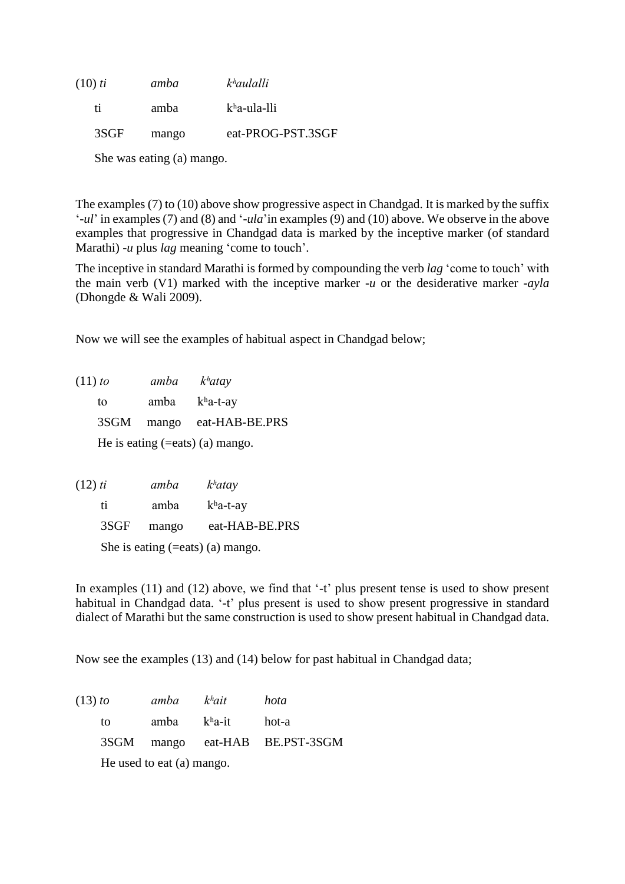| amba  | k <sup>h</sup> aulalli |
|-------|------------------------|
| amba  | kha-ula-lli            |
| mango | eat-PROG-PST.3SGF      |
|       |                        |

She was eating (a) mango.

The examples (7) to (10) above show progressive aspect in Chandgad. It is marked by the suffix '*-ul*' in examples (7) and (8) and '*-ula*'in examples (9) and (10) above. We observe in the above examples that progressive in Chandgad data is marked by the inceptive marker (of standard Marathi) *-u* plus *lag* meaning 'come to touch'.

The inceptive in standard Marathi is formed by compounding the verb *lag* 'come to touch' with the main verb (V1) marked with the inceptive marker *-u* or the desiderative marker -*ayla* (Dhongde & Wali 2009).

Now we will see the examples of habitual aspect in Chandgad below;

(11) *to amba kʰatay* to amba kʰa-t-ay 3SGM mango eat-HAB-BE.PRS He is eating (=eats) (a) mango.

| $(12)$ ti                              | amba  | k <sup>h</sup> atay |  |
|----------------------------------------|-------|---------------------|--|
| ti                                     | amba  | $kha-t-ay$          |  |
| 3SGF                                   | mango | eat-HAB-BE.PRS      |  |
| She is eating $(=$ eats $)$ (a) mango. |       |                     |  |

In examples (11) and (12) above, we find that '-t' plus present tense is used to show present habitual in Chandgad data. '-t' plus present is used to show present progressive in standard dialect of Marathi but the same construction is used to show present habitual in Chandgad data.

Now see the examples (13) and (14) below for past habitual in Chandgad data;

| $(13)$ to                 |    | amba k <sup>h</sup> ait |             | hota                           |
|---------------------------|----|-------------------------|-------------|--------------------------------|
|                           | tο |                         | amba kha-it | hot-a                          |
|                           |    |                         |             | 3SGM mango eat-HAB BE.PST-3SGM |
| He used to eat (a) mango. |    |                         |             |                                |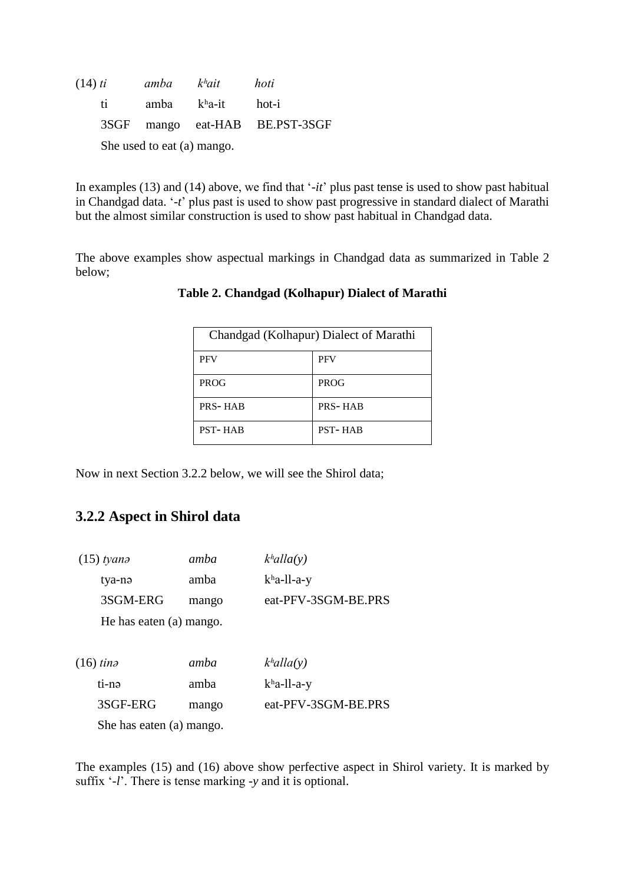| $(14)$ ti    | amba k <sup>h</sup> ait    |                        | hoti                           |
|--------------|----------------------------|------------------------|--------------------------------|
| $\mathbf{f}$ |                            | amba $k^h a$ -it hot-i |                                |
|              |                            |                        | 3SGF mango eat-HAB BE.PST-3SGF |
|              | She used to eat (a) mango. |                        |                                |

In examples (13) and (14) above, we find that '*-it*' plus past tense is used to show past habitual in Chandgad data. '*-t*' plus past is used to show past progressive in standard dialect of Marathi but the almost similar construction is used to show past habitual in Chandgad data.

The above examples show aspectual markings in Chandgad data as summarized in Table 2 below;

| Chandgad (Kolhapur) Dialect of Marathi |                |  |
|----------------------------------------|----------------|--|
| <b>PFV</b>                             | <b>PFV</b>     |  |
| <b>PROG</b>                            | <b>PROG</b>    |  |
| PRS-HAB                                | <b>PRS-HAB</b> |  |
| <b>PST-HAB</b>                         | <b>PST-HAB</b> |  |

#### **Table 2. Chandgad (Kolhapur) Dialect of Marathi**

Now in next Section 3.2.2 below, we will see the Shirol data;

# **3.2.2 Aspect in Shirol data**

| $(15)$ tyana             | amba  | $k$ <sup>h</sup> alla(y) |  |
|--------------------------|-------|--------------------------|--|
| tya-nə                   | amba  | $kha$ -ll-a-y            |  |
| 3SGM-ERG                 | mango | eat-PFV-3SGM-BE.PRS      |  |
| He has eaten (a) mango.  |       |                          |  |
|                          |       |                          |  |
| $(16)$ tina              | amba  | $k$ <sup>h</sup> alla(y) |  |
| ti-nə                    | amba  | $k$ ha-ll-a-y            |  |
| 3SGF-ERG                 | mango | eat-PFV-3SGM-BE.PRS      |  |
| She has eaten (a) mango. |       |                          |  |

The examples (15) and (16) above show perfective aspect in Shirol variety. It is marked by suffix '-*l*'. There is tense marking *-y* and it is optional.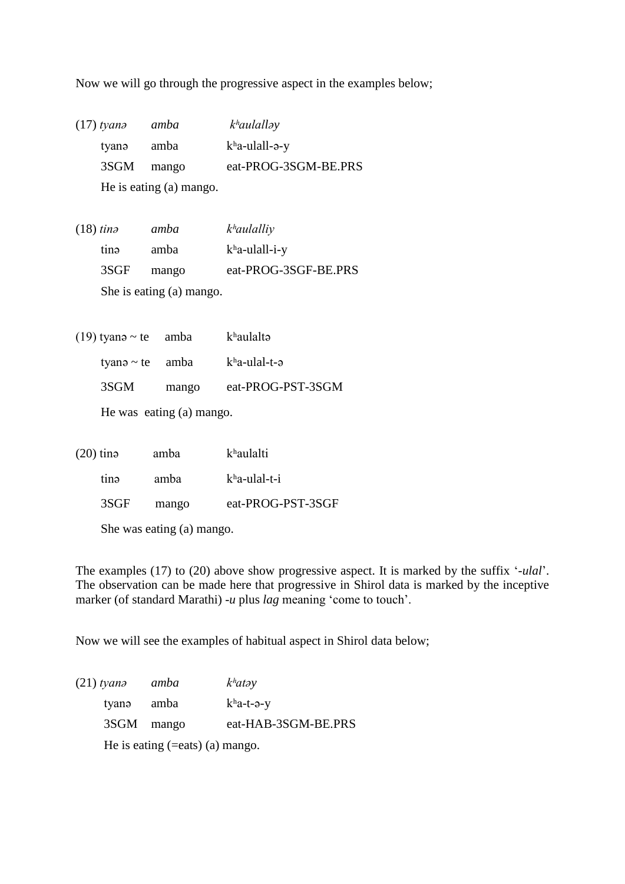Now we will go through the progressive aspect in the examples below;

| $(17)$ tyan $\partial$ | amba                    | $k$ <sup>h</sup> aulallay |
|------------------------|-------------------------|---------------------------|
| tyanə                  | amba                    | $kha$ -ulall- $\theta$ -y |
| 3SGM mango             |                         | eat-PROG-3SGM-BE.PRS      |
|                        | He is eating (a) mango. |                           |

- (18) *tinə amba kʰaulalliy* tinə amba kʰa-ulall-i-y 3SGF mango eat-PROG-3SGF-BE.PRS She is eating (a) mango.
- (19) tyanə ~ te amba  $k<sup>h</sup>$ aulaltə tyanə ~ te amba  $k<sup>h</sup>a$ -ulal-t-ə 3SGM mango eat-PROG-PST-3SGM

He was eating (a) mango.

| $(20)$ tina               |      | amba  | khaulalti         |
|---------------------------|------|-------|-------------------|
|                           | tina | amba  | $kha$ -ulal-t-i   |
|                           | 3SGF | mango | eat-PROG-PST-3SGF |
| She was eating (a) mango. |      |       |                   |

The examples (17) to (20) above show progressive aspect. It is marked by the suffix '*-ulal*'. The observation can be made here that progressive in Shirol data is marked by the inceptive marker (of standard Marathi) *-u* plus *lag* meaning 'come to touch'.

Now we will see the examples of habitual aspect in Shirol data below;

| $(21)$ tyana | amba                                  | k <sup>h</sup> at <sub>ay</sub> |
|--------------|---------------------------------------|---------------------------------|
| tyanə        | amba                                  | $k^h$ a-t-ə-y                   |
| 3SGM mango   |                                       | eat-HAB-3SGM-BE.PRS             |
|              | He is eating $(=$ eats $)$ (a) mango. |                                 |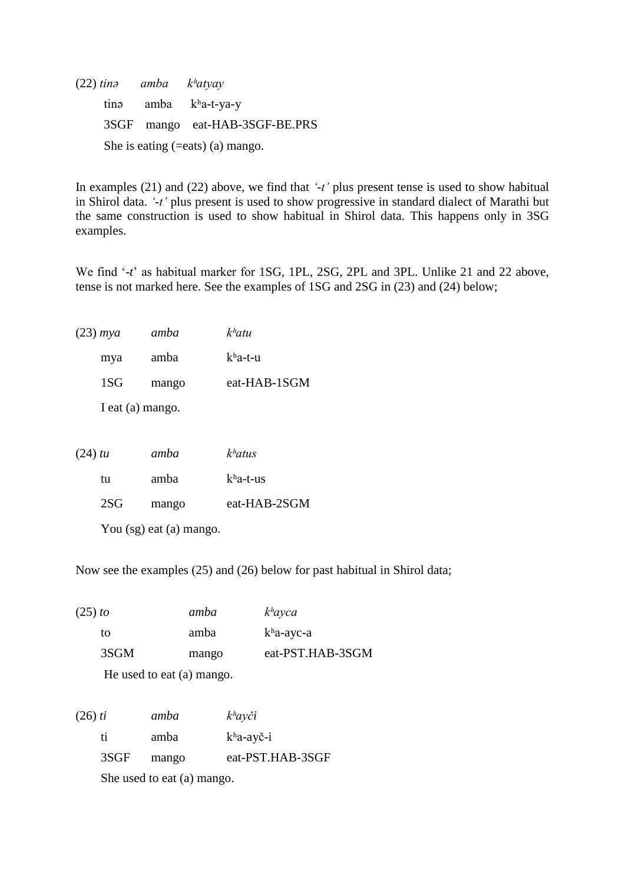(22) *tinə amba kʰatyay* tinə amba kʰa-t-ya-y 3SGF mango eat-HAB-3SGF-BE.PRS She is eating  $(=$ eats)  $(a)$  mango.

In examples (21) and (22) above, we find that *'-t'* plus present tense is used to show habitual in Shirol data. *'-t'* plus present is used to show progressive in standard dialect of Marathi but the same construction is used to show habitual in Shirol data. This happens only in 3SG examples.

We find '*-t*' as habitual marker for 1SG, 1PL, 2SG, 2PL and 3PL. Unlike 21 and 22 above, tense is not marked here. See the examples of 1SG and 2SG in (23) and (24) below;

| $(23)$ mya | amba             | k <sup>h</sup> atu |
|------------|------------------|--------------------|
| mya        | amba             | $kha-t-u$          |
| 1SG        | mango            | eat-HAB-1SGM       |
|            | I eat (a) mango. |                    |

| $(24)$ tu |     | amba                    | k <sup>h</sup> atus |
|-----------|-----|-------------------------|---------------------|
|           | tu  | amba                    | $kha-t-us$          |
|           | 2SG | mango                   | eat-HAB-2SGM        |
|           |     | You (sg) eat (a) mango. |                     |

Now see the examples (25) and (26) below for past habitual in Shirol data;

| $(25)$ to | amba                      | $k^h$ ayca       |
|-----------|---------------------------|------------------|
| to        | amba                      | $k$ ha-ayc-a     |
| 3SGM      | mango                     | eat-PST.HAB-3SGM |
|           | He used to eat (a) mango. |                  |

| $(26)$ ti |      | amba                       | $k^h$ ayči       |
|-----------|------|----------------------------|------------------|
|           | ti.  | amba                       | $k$ ha-ayč-i     |
|           | 3SGF | mango                      | eat-PST.HAB-3SGF |
|           |      | She used to eat (a) mango. |                  |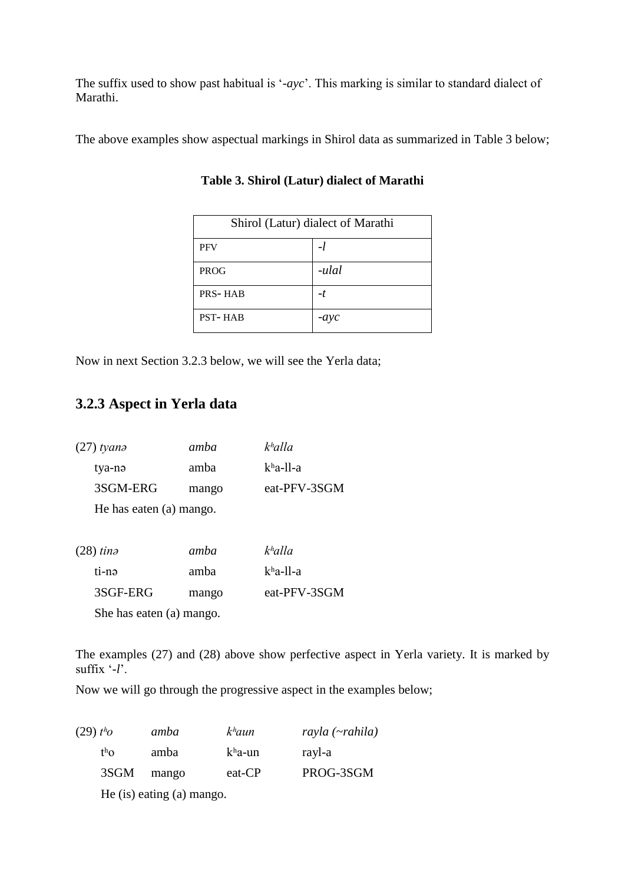The suffix used to show past habitual is '*-ayc*'. This marking is similar to standard dialect of Marathi.

The above examples show aspectual markings in Shirol data as summarized in Table 3 below;

| Shirol (Latur) dialect of Marathi |        |  |
|-----------------------------------|--------|--|
| <b>PFV</b>                        | -1     |  |
| <b>PROG</b>                       | -ulal  |  |
| <b>PRS-HAB</b>                    | -t     |  |
| <b>PST-HAB</b>                    | $-ayc$ |  |

**Table 3. Shirol (Latur) dialect of Marathi**

Now in next Section 3.2.3 below, we will see the Yerla data;

## **3.2.3 Aspect in Yerla data**

| $(27)$ tyana            | amba  | khalla       |
|-------------------------|-------|--------------|
| tya-nə                  | amba  | $kha$ -11-a  |
| 3SGM-ERG                | mango | eat-PFV-3SGM |
| He has eaten (a) mango. |       |              |
| $(28)$ tina             | amba  | khalla       |
| ti-nə                   | amba  | $kha$ -11-a  |

 3SGF-ERG mango eat-PFV-3SGM She has eaten (a) mango.

The examples (27) and (28) above show perfective aspect in Yerla variety. It is marked by suffix '-*l*'.

Now we will go through the progressive aspect in the examples below;

| $(29)$ tho       | amba                      | $k$ <sup>h</sup> aun | $rayla$ ( $\neg$ rahila) |
|------------------|---------------------------|----------------------|--------------------------|
| t <sup>h</sup> O | amba                      | $kha$ -un            | rayl-a                   |
| 3SGM             | mango                     | eat-CP               | PROG-3SGM                |
|                  | He (is) eating (a) mango. |                      |                          |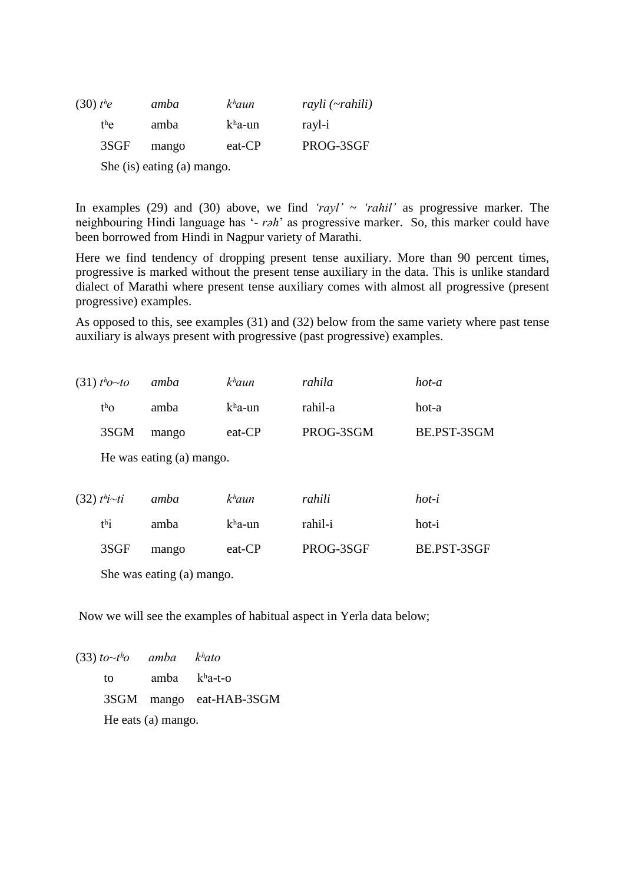| $(30)$ the |      | amba  | $k$ <sup>h</sup> aun | $rayli$ ( $\neg$ rahili) |
|------------|------|-------|----------------------|--------------------------|
| the        |      | amba  | $kha$ -un            | rayl-i                   |
|            | 3SGF | mango | eat-CP               | PROG-3SGF                |

She (is) eating (a) mango.

In examples (29) and (30) above, we find *'rayl'*  $\sim$  *'rahil'* as progressive marker. The neighbouring Hindi language has '*- rəh*' as progressive marker. So, this marker could have been borrowed from Hindi in Nagpur variety of Marathi.

Here we find tendency of dropping present tense auxiliary. More than 90 percent times, progressive is marked without the present tense auxiliary in the data. This is unlike standard dialect of Marathi where present tense auxiliary comes with almost all progressive (present progressive) examples.

As opposed to this, see examples (31) and (32) below from the same variety where past tense auxiliary is always present with progressive (past progressive) examples.

| $(31)$ tho~to              | amba                     | $k$ <sup>h</sup> aun | rahila    | hot-a       |
|----------------------------|--------------------------|----------------------|-----------|-------------|
| $th$ O                     | amba                     | kha-un               | rahil-a   | hot-a       |
| 3SGM                       | mango                    | eat-CP               | PROG-3SGM | BE.PST-3SGM |
|                            | He was eating (a) mango. |                      |           |             |
| $(32)$ t <sup>h</sup> i~ti | amba                     | $k$ <sup>h</sup> aun | rahili    | $hot-i$     |
| $th$ i                     | amba                     | $kha$ -un            | rahil-i   | hot-i       |
| 3SGF                       | mango                    | eat-CP               | PROG-3SGF | BE.PST-3SGF |
| She was eating (a) mango.  |                          |                      |           |             |

Now we will see the examples of habitual aspect in Yerla data below;

(33) *to~tʰo amba kʰato* to amba  $k<sup>h</sup>a-t-o$  3SGM mango eat-HAB-3SGM He eats (a) mango.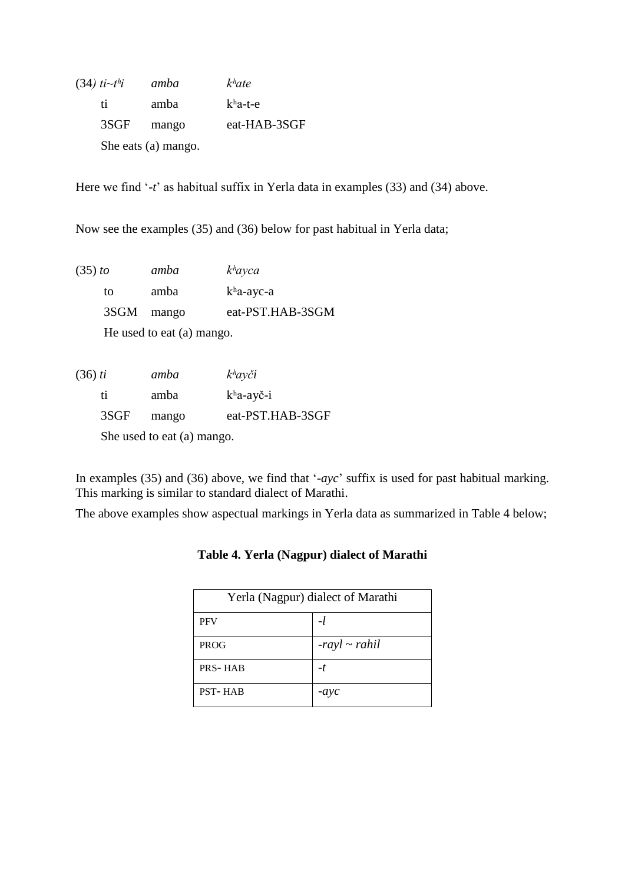| $(34)$ ti $\sim t^h i$ | amba                | k <sup>h</sup> ate |
|------------------------|---------------------|--------------------|
| ti.                    | amba                | $kha-t-e$          |
| 3SGF                   | mango               | eat-HAB-3SGF       |
|                        | She eats (a) mango. |                    |

Here we find '*-t*' as habitual suffix in Yerla data in examples (33) and (34) above.

Now see the examples (35) and (36) below for past habitual in Yerla data;

| (35) to | amba                      | $k^h$ ayca       |
|---------|---------------------------|------------------|
| tΩ      | amba                      | $k$ ha-ayc-a     |
|         | 3SGM mango                | eat-PST.HAB-3SGM |
|         | He used to eat (a) mango. |                  |

| $(36)$ ti |      | amba                       | $k^h$ ayči          |
|-----------|------|----------------------------|---------------------|
|           | ti   | amba                       | $kha-ay\check{c}-i$ |
|           | 3SGF | mango                      | eat-PST.HAB-3SGF    |
|           |      | She used to eat (a) mango. |                     |

In examples (35) and (36) above, we find that '*-ayc*' suffix is used for past habitual marking. This marking is similar to standard dialect of Marathi.

The above examples show aspectual markings in Yerla data as summarized in Table 4 below;

| Yerla (Nagpur) dialect of Marathi |                    |  |  |
|-----------------------------------|--------------------|--|--|
| <b>PFV</b>                        | -l                 |  |  |
| <b>PROG</b>                       | $-rayl \sim$ rahil |  |  |
| <b>PRS-HAB</b>                    | -t                 |  |  |
| <b>PST-HAB</b>                    | $-ayc$             |  |  |

## **Table 4. Yerla (Nagpur) dialect of Marathi**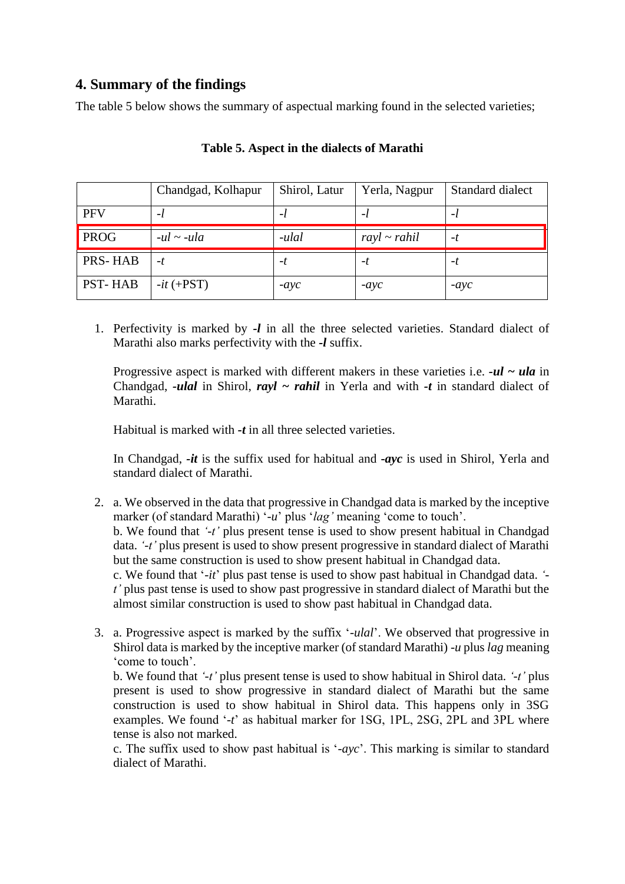# **4. Summary of the findings**

The table 5 below shows the summary of aspectual marking found in the selected varieties;

|                | Chandgad, Kolhapur | Shirol, Latur | Yerla, Nagpur     | Standard dialect |
|----------------|--------------------|---------------|-------------------|------------------|
| <b>PFV</b>     | -1                 | -1            |                   | -1               |
| <b>PROG</b>    | $-ul \sim -ula$    | -ulal         | $rayl \sim$ rahil | -t               |
| <b>PRS-HAB</b> | -t                 | -t            | -1                | -l               |
| <b>PST-HAB</b> | $-it$ (+PST)       | $-ayc$        | $-ayc$            | $-ayc$           |

#### **Table 5. Aspect in the dialects of Marathi**

1. Perfectivity is marked by *-l* in all the three selected varieties. Standard dialect of Marathi also marks perfectivity with the *-l* suffix.

Progressive aspect is marked with different makers in these varieties i.e. *-ul ~ ula* in Chandgad, *-ulal* in Shirol, *rayl ~ rahil* in Yerla and with *-t* in standard dialect of Marathi.

Habitual is marked with **-***t* in all three selected varieties.

In Chandgad, *-it* is the suffix used for habitual and **-***ayc* is used in Shirol, Yerla and standard dialect of Marathi.

- 2. a. We observed in the data that progressive in Chandgad data is marked by the inceptive marker (of standard Marathi) '-u' plus '*lag*' meaning 'come to touch'. b. We found that *'-t'* plus present tense is used to show present habitual in Chandgad data. *'-t'* plus present is used to show present progressive in standard dialect of Marathi but the same construction is used to show present habitual in Chandgad data. c. We found that '*-it*' plus past tense is used to show past habitual in Chandgad data. *' t'* plus past tense is used to show past progressive in standard dialect of Marathi but the almost similar construction is used to show past habitual in Chandgad data.
- 3. a. Progressive aspect is marked by the suffix '*-ulal*'. We observed that progressive in Shirol data is marked by the inceptive marker (of standard Marathi) *-u* plus *lag* meaning 'come to touch'.

b. We found that *'-t'* plus present tense is used to show habitual in Shirol data. *'-t'* plus present is used to show progressive in standard dialect of Marathi but the same construction is used to show habitual in Shirol data. This happens only in 3SG examples. We found '*-t*' as habitual marker for 1SG, 1PL, 2SG, 2PL and 3PL where tense is also not marked.

c. The suffix used to show past habitual is '*-ayc*'. This marking is similar to standard dialect of Marathi.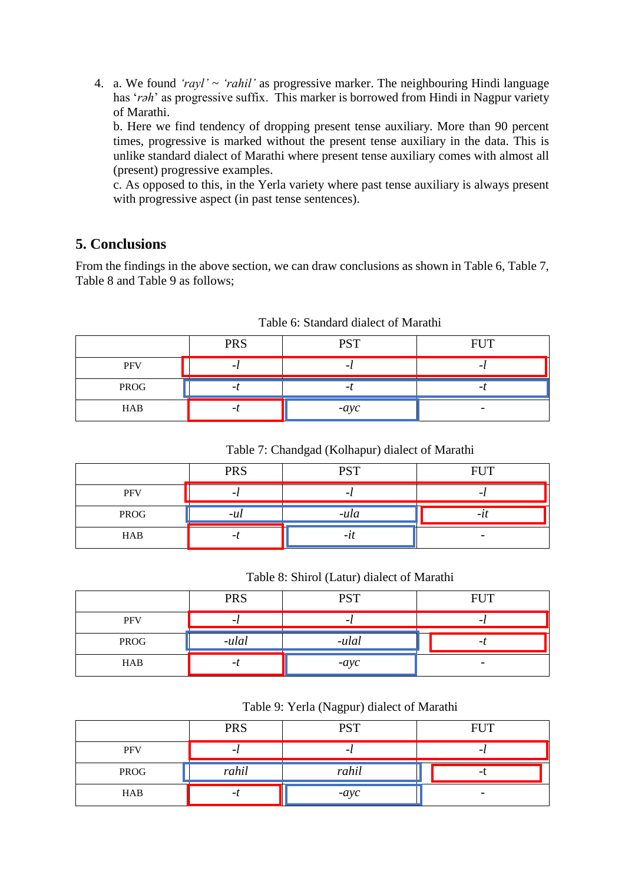4. a. We found *'rayl'* ~ *'rahil'* as progressive marker. The neighbouring Hindi language has '*rəh*' as progressive suffix. This marker is borrowed from Hindi in Nagpur variety of Marathi.

b. Here we find tendency of dropping present tense auxiliary. More than 90 percent times, progressive is marked without the present tense auxiliary in the data. This is unlike standard dialect of Marathi where present tense auxiliary comes with almost all (present) progressive examples.

c. As opposed to this, in the Yerla variety where past tense auxiliary is always present with progressive aspect (in past tense sentences).

## **5. Conclusions**

From the findings in the above section, we can draw conclusions as shown in Table 6, Table 7, Table 8 and Table 9 as follows;

|            | <b>PRS</b> | <b>PST</b> | <b>FIIT</b> |
|------------|------------|------------|-------------|
| <b>PFV</b> |            |            |             |
| PROG       |            |            |             |
| HAB        |            | $-ayc$     |             |

Table 6: Standard dialect of Marathi

#### Table 7: Chandgad (Kolhapur) dialect of Marathi

|      | <b>PRS</b> | <b>PST</b> | <b>FIIT</b> |
|------|------------|------------|-------------|
| PFV  |            |            |             |
| PROG | $-u\iota$  | -ula       |             |
| HAB  |            | - 1        |             |

Table 8: Shirol (Latur) dialect of Marathi

|            | <b>PRS</b> | <b>PST</b> | <b>FUT</b>               |
|------------|------------|------------|--------------------------|
| <b>PFV</b> |            |            |                          |
| PROG       | -ulal      | -ulal      |                          |
| HAB        |            | $-ayc$     | $\overline{\phantom{0}}$ |

Table 9: Yerla (Nagpur) dialect of Marathi

|            | <b>PRS</b> | <b>PST</b> | <b>FUT</b> |
|------------|------------|------------|------------|
| <b>PFV</b> |            |            |            |
| PROG       | rahil      | rahil      |            |
| HAB        |            | $-ayc$     | -          |